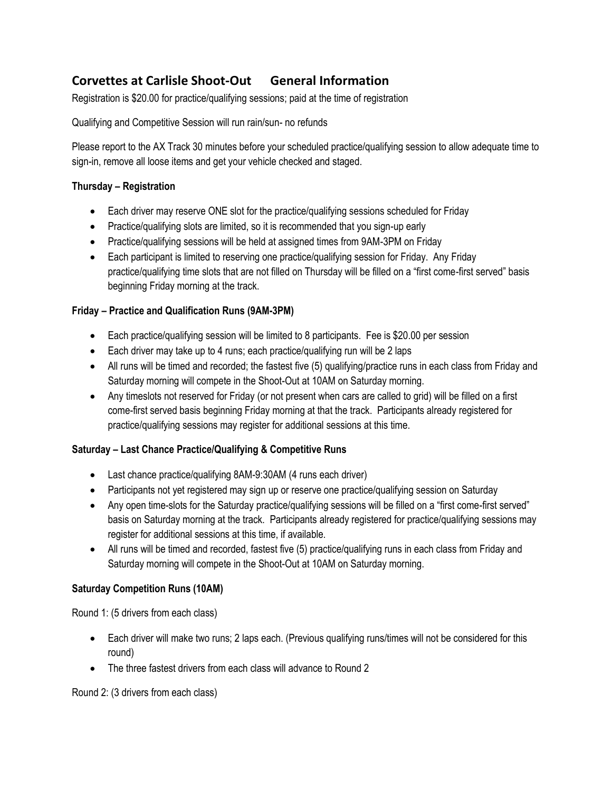# **Corvettes at Carlisle Shoot-Out General Information**

Registration is \$20.00 for practice/qualifying sessions; paid at the time of registration

Qualifying and Competitive Session will run rain/sun- no refunds

Please report to the AX Track 30 minutes before your scheduled practice/qualifying session to allow adequate time to sign-in, remove all loose items and get your vehicle checked and staged.

# **Thursday – Registration**

- Each driver may reserve ONE slot for the practice/qualifying sessions scheduled for Friday
- Practice/qualifying slots are limited, so it is recommended that you sign-up early
- Practice/qualifying sessions will be held at assigned times from 9AM-3PM on Friday
- Each participant is limited to reserving one practice/qualifying session for Friday. Any Friday practice/qualifying time slots that are not filled on Thursday will be filled on a "first come-first served" basis beginning Friday morning at the track.

# **Friday – Practice and Qualification Runs (9AM-3PM)**

- Each practice/qualifying session will be limited to 8 participants. Fee is \$20.00 per session
- Each driver may take up to 4 runs; each practice/qualifying run will be 2 laps
- All runs will be timed and recorded; the fastest five (5) qualifying/practice runs in each class from Friday and Saturday morning will compete in the Shoot-Out at 10AM on Saturday morning.
- Any timeslots not reserved for Friday (or not present when cars are called to grid) will be filled on a first come-first served basis beginning Friday morning at that the track. Participants already registered for practice/qualifying sessions may register for additional sessions at this time.

# **Saturday – Last Chance Practice/Qualifying & Competitive Runs**

- Last chance practice/qualifying 8AM-9:30AM (4 runs each driver)
- Participants not yet registered may sign up or reserve one practice/qualifying session on Saturday
- Any open time-slots for the Saturday practice/qualifying sessions will be filled on a "first come-first served" basis on Saturday morning at the track. Participants already registered for practice/qualifying sessions may register for additional sessions at this time, if available.
- All runs will be timed and recorded, fastest five (5) practice/qualifying runs in each class from Friday and Saturday morning will compete in the Shoot-Out at 10AM on Saturday morning.

# **Saturday Competition Runs (10AM)**

Round 1: (5 drivers from each class)

- Each driver will make two runs; 2 laps each. (Previous qualifying runs/times will not be considered for this round)
- The three fastest drivers from each class will advance to Round 2

Round 2: (3 drivers from each class)